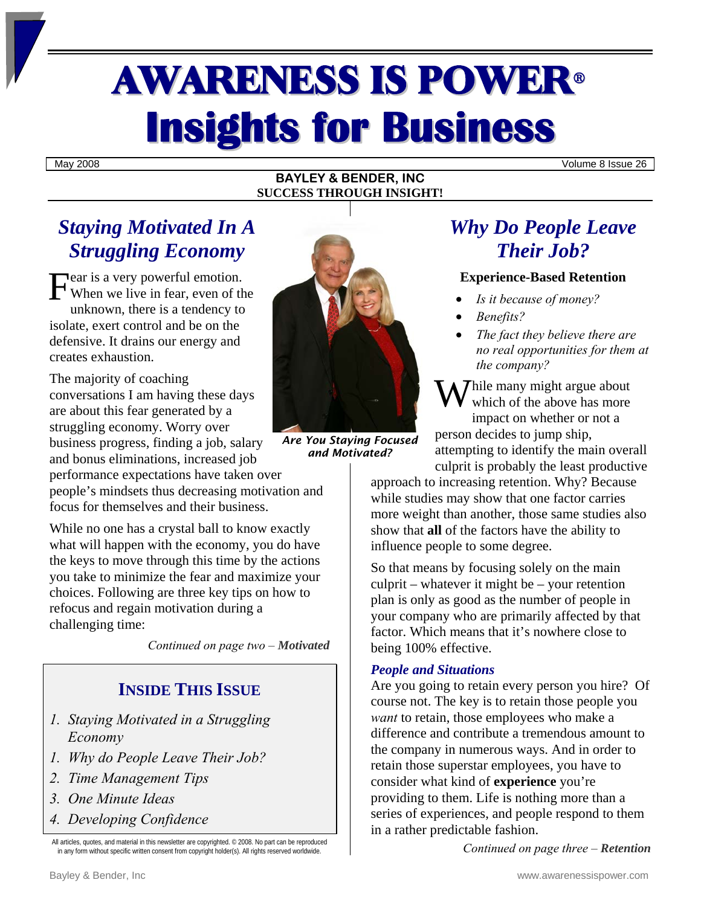# AWARENESS IS POWER<sup>ü</sup> **Insights for Business**

May 2008 Volume 8 Issue 26

#### **BAYLEY & BENDER, INC SUCCESS THROUGH INSIGHT!**

## *Staying Motivated In A Struggling Economy*

Fear is a very powerful emotion.<br>When we live in fear, even of the When we live in fear, even of the unknown, there is a tendency to isolate, exert control and be on the defensive. It drains our energy and creates exhaustion.

The majority of coaching conversations I am having these days are about this fear generated by a struggling economy. Worry over business progress, finding a job, salary and bonus eliminations, increased job

performance expectations have taken over people's mindsets thus decreasing motivation and focus for themselves and their business.

While no one has a crystal ball to know exactly what will happen with the economy, you do have the keys to move through this time by the actions you take to minimize the fear and maximize your choices. Following are three key tips on how to refocus and regain motivation during a challenging time:

*Continued on page two – Motivated* 

## **INSIDE THIS ISSUE**

- *1. Staying Motivated in a Struggling Economy*
- *1. Why do People Leave Their Job?*
- *2. Time Management Tips*
- *3. One Minute Ideas*
- *4. Developing Confidence*

All articles, quotes, and material in this newsletter are copyrighted. © 2008. No part can be reproduced in any form without specific written consent from copyright holder(s). All rights reserved worldwide.



*Are You Staying Focused and Motivated?*

## *Why Do People Leave Their Job?*

#### **Experience-Based Retention**

- *Is it because of money?*
- *Benefits?*
- *The fact they believe there are no real opportunities for them at the company?*

While many might argue about<br>which of the above has more which of the above has more impact on whether or not a person decides to jump ship, attempting to identify the main overall culprit is probably the least productive

approach to increasing retention. Why? Because while studies may show that one factor carries more weight than another, those same studies also show that **all** of the factors have the ability to influence people to some degree.

So that means by focusing solely on the main culprit – whatever it might be – your retention plan is only as good as the number of people in your company who are primarily affected by that factor. Which means that it's nowhere close to being 100% effective.

#### *People and Situations*

Are you going to retain every person you hire? Of course not. The key is to retain those people you *want* to retain, those employees who make a difference and contribute a tremendous amount to the company in numerous ways. And in order to retain those superstar employees, you have to consider what kind of **experience** you're providing to them. Life is nothing more than a series of experiences, and people respond to them in a rather predictable fashion.

*Continued on page three – Retention*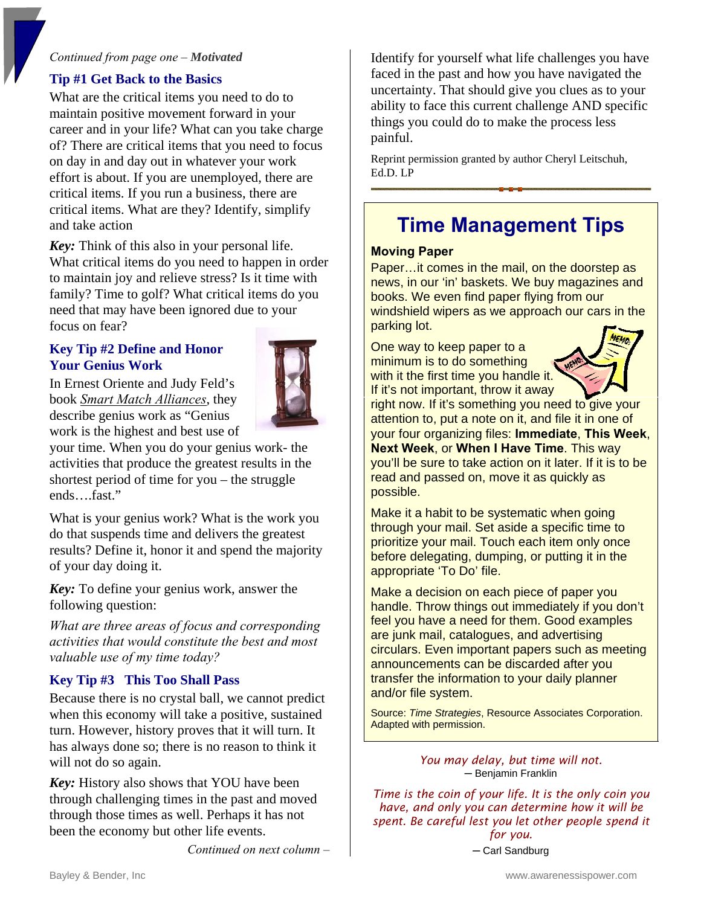#### *Continued from page one – Motivated*

#### **Tip #1 Get Back to the Basics**

What are the critical items you need to do to maintain positive movement forward in your career and in your life? What can you take charge of? There are critical items that you need to focus on day in and day out in whatever your work effort is about. If you are unemployed, there are critical items. If you run a business, there are critical items. What are they? Identify, simplify and take action

*Key:* Think of this also in your personal life. What critical items do you need to happen in order to maintain joy and relieve stress? Is it time with family? Time to golf? What critical items do you need that may have been ignored due to your focus on fear?

#### **Key Tip #2 Define and Honor Your Genius Work**

In Ernest Oriente and Judy Feld's book *Smart Match Alliances*, they describe genius work as "Genius work is the highest and best use of



your time. When you do your genius work- the activities that produce the greatest results in the shortest period of time for you – the struggle ends….fast."

What is your genius work? What is the work you do that suspends time and delivers the greatest results? Define it, honor it and spend the majority of your day doing it.

*Key:* To define your genius work, answer the following question:

*What are three areas of focus and corresponding activities that would constitute the best and most valuable use of my time today?* 

#### **Key Tip #3 This Too Shall Pass**

Because there is no crystal ball, we cannot predict when this economy will take a positive, sustained turn. However, history proves that it will turn. It has always done so; there is no reason to think it will not do so again.

*Key:* History also shows that YOU have been through challenging times in the past and moved through those times as well. Perhaps it has not been the economy but other life events.

*Continued on next column –* 

Identify for yourself what life challenges you have faced in the past and how you have navigated the uncertainty. That should give you clues as to your ability to face this current challenge AND specific things you could do to make the process less painful.

Reprint permission granted by author Cheryl Leitschuh, Ed.D. LP

## **Time Management Tips**

#### **Moving Paper**

Paper…it comes in the mail, on the doorstep as news, in our 'in' baskets. We buy magazines and books. We even find paper flying from our windshield wipers as we approach our cars in the parking lot.

One way to keep paper to a minimum is to do something with it the first time you handle it. If it's not important, throw it away



right now. If it's something you need to give your attention to, put a note on it, and file it in one of your four organizing files: **Immediate**, **This Week**, **Next Week**, or **When I Have Time**. This way you'll be sure to take action on it later. If it is to be read and passed on, move it as quickly as possible.

Make it a habit to be systematic when going through your mail. Set aside a specific time to prioritize your mail. Touch each item only once before delegating, dumping, or putting it in the appropriate 'To Do' file.

Make a decision on each piece of paper you handle. Throw things out immediately if you don't feel you have a need for them. Good examples are junk mail, catalogues, and advertising circulars. Even important papers such as meeting announcements can be discarded after you transfer the information to your daily planner and/or file system.

Source: *Time Strategies*, Resource Associates Corporation. Adapted with permission.

> *You may delay, but time will not.*  **─** Benjamin Franklin

*Time is the coin of your life. It is the only coin you have, and only you can determine how it will be spent. Be careful lest you let other people spend it for you.* 

*─* Carl Sandburg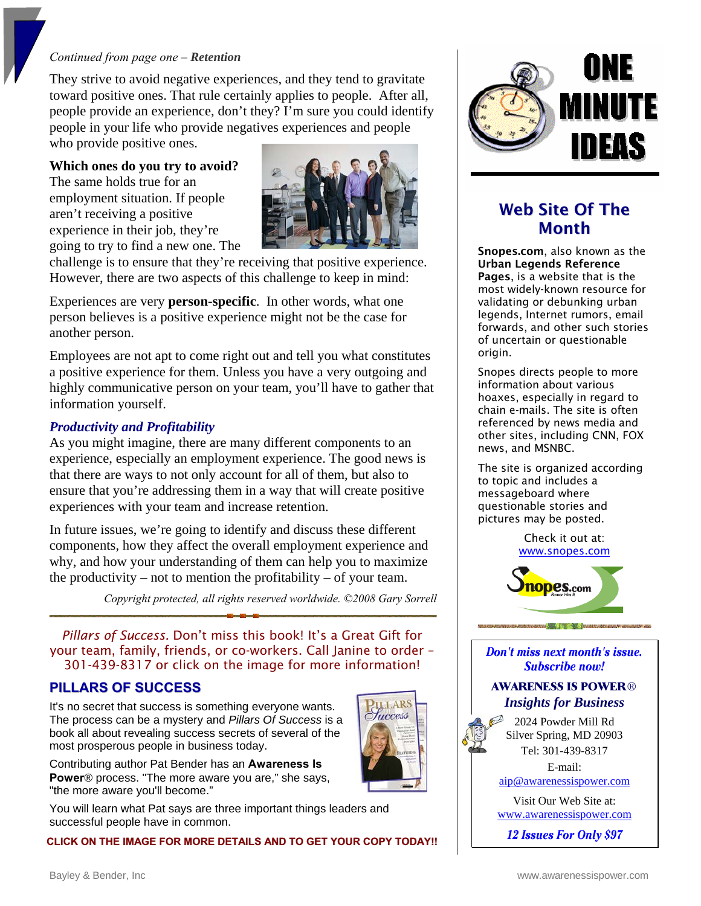#### *Continued from page one – Retention*

They strive to avoid negative experiences, and they tend to gravitate toward positive ones. That rule certainly applies to people. After all, people provide an experience, don't they? I'm sure you could identify people in your life who provide negatives experiences and people who provide positive ones.

**Which ones do you try to avoid?** 

The same holds true for an employment situation. If people aren't receiving a positive experience in their job, they're going to try to find a new one. The



challenge is to ensure that they're receiving that positive experience. However, there are two aspects of this challenge to keep in mind:

Experiences are very **person-specific**. In other words, what one person believes is a positive experience might not be the case for another person.

Employees are not apt to come right out and tell you what constitutes a positive experience for them. Unless you have a very outgoing and highly communicative person on your team, you'll have to gather that information yourself.

#### *Productivity and Profitability*

As you might imagine, there are many different components to an experience, especially an employment experience. The good news is that there are ways to not only account for all of them, but also to ensure that you're addressing them in a way that will create positive experiences with your team and increase retention.

In future issues, we're going to identify and discuss these different components, how they affect the overall employment experience and why, and how your understanding of them can help you to maximize the productivity – not to mention the profitability – of your team.

*Copyright protected, all rights reserved worldwide. ©2008 Gary Sorrell*

*Pillars of Success.* Don't miss this book! It's a Great Gift for your team, family, friends, or co-workers. Call Janine to order – 301-439-8317 or click on the image for more information!

#### **PILLARS OF SUCCESS**

It's no secret that success is something everyone wants. The process can be a mystery and *Pillars Of Success* is a book all about revealing success secrets of several of the most prosperous people in business today.

Contributing author Pat Bender has an **Awareness Is Power**® process. "The more aware you are," she says, "the more aware you'll become."

You will learn what Pat says are three important things leaders and successful people have in common.

**CLICK ON THE IMAGE FOR MORE DETAILS AND TO GET YOUR COPY TODAY!!**



### Web Site Of The Month

Snopes.com, also known as the Urban Legends Reference Pages, is a website that is the most widely-known resource for validating or debunking urban legends, Internet rumors, email forwards, and other such stories of uncertain or questionable origin.

Snopes directs people to more information about various hoaxes, especially in regard to chain e-mails. The site is often referenced by news media and other sites, including CNN, FOX news, and MSNBC.

The site is organized according to topic and includes a messageboard where questionable stories and pictures may be posted.

> Check it out at: [www.snopes.com](http://www.snopes.com/)



Don't miss next month's issue. **Subscribe now!** 

#### **AWARENESS IS POWER**® *Insights for Business*

2024 Powder Mill Rd Silver Spring, MD 20903 Tel: 301-439-8317

E-mail: [aip@awarenessispower.com](mailto:aip@awarenessispower.com)

Visit Our Web Site at: [www.awarenessispower.com](http://www.awarenessispower.com/)

12 **Issues For Only \$97**